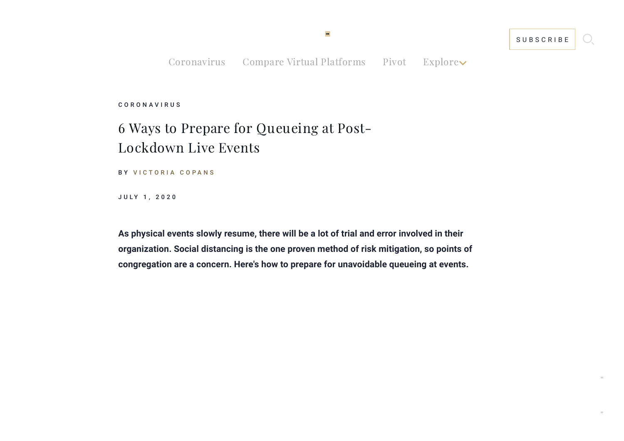[Coronavirus](https://www.eventmanagerblog.com/events-coronavirus) Compare Virtual [Platforms](https://www.eventmanagerblog.com/virtual-event-tech-report) [Pivot](https://www.eventmanagerblog.com/pivot-to-virtual) Explore

MB

C O R O [N](https://www.eventmanagerblog.com/coronavirus/) A V I R U S

## 6 Ways to Prepare for Queueing at Post-Lockdown Live Events

BY VICTORIA COPA[N](https://www.eventmanagerblog.com/post-author/victoria-copans/)S

J U L Y 1, 2020

**As physical events slowly resume, there will be a lot of trial and error involved in their organization. Social distancing is the one proven method of risk mitigation, so points of congregation are a concern. Here's how to prepare for unavoidable queueing at events.**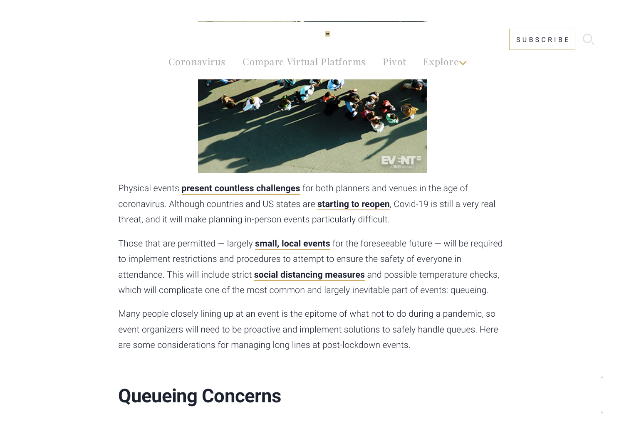#### [Coronavirus](https://www.eventmanagerblog.com/events-coronavirus) Compare Virtual [Platforms](https://www.eventmanagerblog.com/virtual-event-tech-report) [Pivot](https://www.eventmanagerblog.com/pivot-to-virtual) Explore

MB



Physical events **present countless [challenges](https://www.eventmanagerblog.com/event-recovery-viability)** for both planners and venues in the age of coronavirus. Although countries and US states are **[starting](https://www.eventmanagerblog.com/how-are-different-countries-reopening-events) to reopen**, Covid-19 is still a very real threat, and it will make planning in-person events particularly difficult.

Those that are permitted — largely **small, local [events](https://www.eventmanagerblog.com/future-events-small-and-local)** for the foreseeable future — will be required to implement restrictions and procedures to attempt to ensure the safety of everyone in attendance. This will include strict **social [distancing](https://www.eventmanagerblog.com/venues-social-distancing) measures** and possible temperature checks, which will complicate one of the most common and largely inevitable part of events: queueing.

Many people closely lining up at an event is the epitome of what not to do during a pandemic, so event organizers will need to be proactive and implement solutions to safely handle queues. Here are some considerations for managing long lines at post-lockdown events.

## **Queueing Concerns**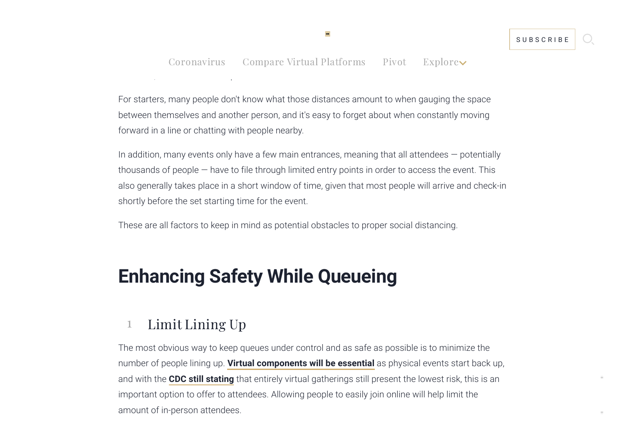#### $Coronavirus$  Compare Virtual [Platforms](https://www.eventmanagerblog.com/virtual-event-tech-report) [Pivot](https://www.eventmanagerblog.com/pivot-to-virtual) Explore $\blacktriangleright$ at events, but it is far from a perfect solution on its own.

When it comes to attend up at an event, there are some simple, relevant rules that have simple, relevant rules

For starters, many people don't know what those distances amount to when gauging the space between themselves and another person, and it's easy to forget about when constantly moving forward in a line or chatting with people nearby.

In addition, many events only have a few main entrances, meaning that all attendees  $-$  potentially thousands of people — have to file through limited entry points in order to access the event. This also generally takes place in a short window of time, given that most people will arrive and check-in shortly before the set starting time for the event.

These are all factors to keep in mind as potential obstacles to proper social distancing.

# **Enhancing Safety While Queueing**

#### 1 Limit Lining Up

The most obvious way to keep queues under control and as safe as possible is to minimize the number of people lining up. **Virtual [components](https://www.eventmanagerblog.com/post-coronavirus-hybrid-events) will be essential** as physical events start back up, and with the **CDC still [stating](https://www.cdc.gov/coronavirus/2019-ncov/community/large-events/considerations-for-events-gatherings.html)** that entirely virtual gatherings still present the lowest risk, this is an important option to offer to attendees. Allowing people to easily join online will help limit the amount of in-person attendees.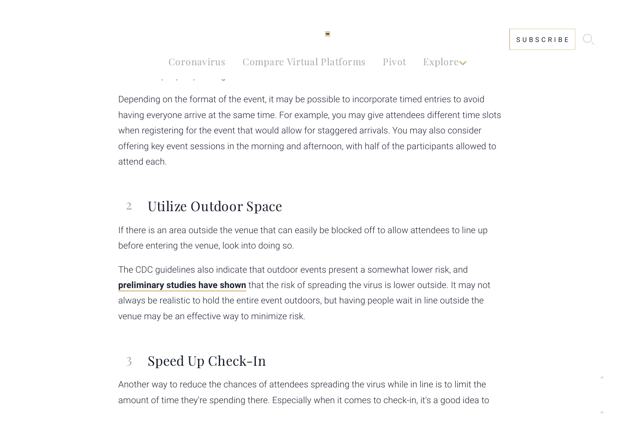[Coronavirus](https://www.eventmanagerblog.com/events-coronavirus) Compare Virtual [Platforms](https://www.eventmanagerblog.com/virtual-event-tech-report) [Pivot](https://www.eventmanagerblog.com/pivot-to-virtual) Explore $\sim$ number of people queueing at each entrance.

If the venue has multiple entrances, make use of them and set up lines at each one, or as many as

Depending on the format of the event, it may be possible to incorporate timed entries to avoid having everyone arrive at the same time. For example, you may give attendees different time slots when registering for the event that would allow for staggered arrivals. You may also consider offering key event sessions in the morning and afternoon, with half of the participants allowed to attend each.

#### 2 Utilize Outdoor Space

If there is an area outside the venue that can easily be blocked off to allow attendees to line up before entering the venue, look into doing so.

The CDC guidelines also indicate that outdoor events present a somewhat lower risk, and **[preliminary](https://thehill.com/policy/healthcare/496483-evidence-mounts-that-outside-is-safer-when-it-comes-to-covid-19) studies have shown** that the risk of spreading the virus is lower outside. It may not always be realistic to hold the entire event outdoors, but having people wait in line outside the venue may be an effective way to minimize risk.

### 3 Speed Up Check-In

Another way to reduce the chances of attendees spreading the virus while in line is to limit the amount of time they're spending there. Especially when it comes to check-in, it's a good idea to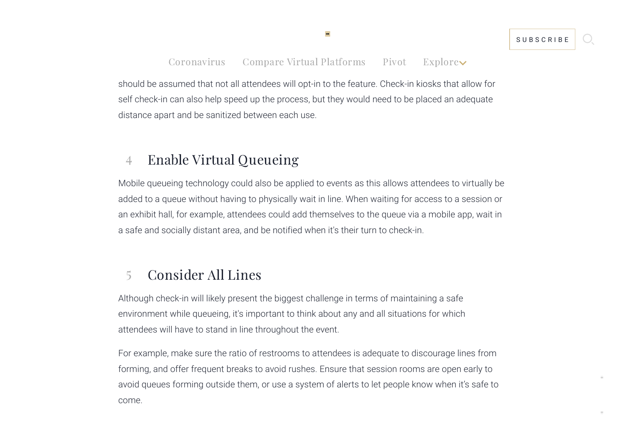#### check-in given that it's completely contactless. **Facial [recognition](https://www.eventmanagerblog.com/fast-and-secure-facial-recognition)** is another option, although it [Coronavirus](https://www.eventmanagerblog.com/events-coronavirus) Compare Virtual [Platforms](https://www.eventmanagerblog.com/virtual-event-tech-report) [Pivot](https://www.eventmanagerblog.com/pivot-to-virtual) Explore

should be assumed that not all attendees will opt-in to the feature. Check-in kiosks that allow for self check-in can also help speed up the process, but they would need to be placed an adequate distance apart and be sanitized between each use.

#### 4 Enable Virtual Queueing

look into and invest in tools that can help speed up the process.

Mobile queueing technology could also be applied to events as this allows attendees to virtually be added to a queue without having to physically wait in line. When waiting for access to a session or an exhibit hall, for example, attendees could add themselves to the queue via a mobile app, wait in a safe and socially distant area, and be notified when it's their turn to check-in.

#### 5 Consider All Lines

Although check-in will likely present the biggest challenge in terms of maintaining a safe environment while queueing, it's important to think about any and all situations for which attendees will have to stand in line throughout the event.

For example, make sure the ratio of restrooms to attendees is adequate to discourage lines from forming, and offer frequent breaks to avoid rushes. Ensure that session rooms are open early to avoid queues forming outside them, or use a system of alerts to let people know when it's safe to come.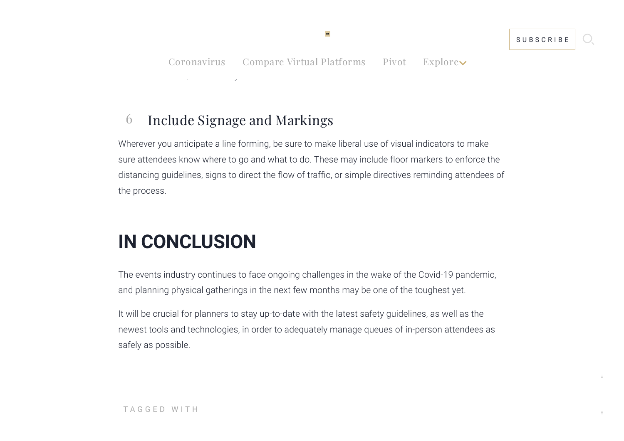Particularly for sessions, managing the arrival and departure of attendees is important to prevent

## 6 Include Signage and Markings

Wherever you anticipate a line forming, be sure to make liberal use of visual indicators to make sure attendees know where to go and what to do. These may include floor markers to enforce the distancing guidelines, signs to direct the flow of traffic, or simple directives reminding attendees of the process.

# **IN CONCLUSION**

The events industry continues to face ongoing challenges in the wake of the Covid-19 pandemic, and planning physical gatherings in the next few months may be one of the toughest yet.

It will be crucial for planners to stay up-to-date with the latest safety guidelines, as well as the newest tools and technologies, in order to adequately manage queues of in-person attendees as safely as possible.